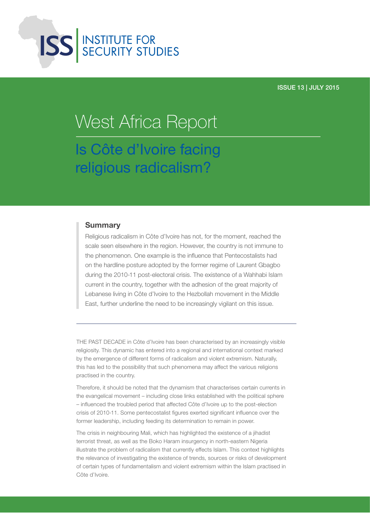

#### ISSUE 13 | JULY 2015

# Is Côte d'Ivoire facing religious radicalism? West Africa Report

#### **Summary**

Religious radicalism in Côte d'Ivoire has not, for the moment, reached the scale seen elsewhere in the region. However, the country is not immune to the phenomenon. One example is the influence that Pentecostalists had on the hardline posture adopted by the former regime of Laurent Gbagbo during the 2010-11 post-electoral crisis. The existence of a Wahhabi Islam current in the country, together with the adhesion of the great majority of Lebanese living in Côte d'Ivoire to the Hezbollah movement in the Middle East, further underline the need to be increasingly vigilant on this issue.

THE PAST DECADE in Côte d'Ivoire has been characterised by an increasingly visible religiosity. This dynamic has entered into a regional and international context marked by the emergence of different forms of radicalism and violent extremism. Naturally, this has led to the possibility that such phenomena may affect the various religions practised in the country.

Therefore, it should be noted that the dynamism that characterises certain currents in the evangelical movement – including close links established with the political sphere – influenced the troubled period that affected Côte d'Ivoire up to the post-election crisis of 2010-11. Some pentecostalist figures exerted significant influence over the former leadership, including feeding its determination to remain in power.

The crisis in neighbouring Mali, which has highlighted the existence of a jihadist terrorist threat, as well as the Boko Haram insurgency in north-eastern Nigeria illustrate the problem of radicalism that currently effects Islam. This context highlights the relevance of investigating the existence of trends, sources or risks of development of certain types of fundamentalism and violent extremism within the Islam practised in Côte d'Ivoire.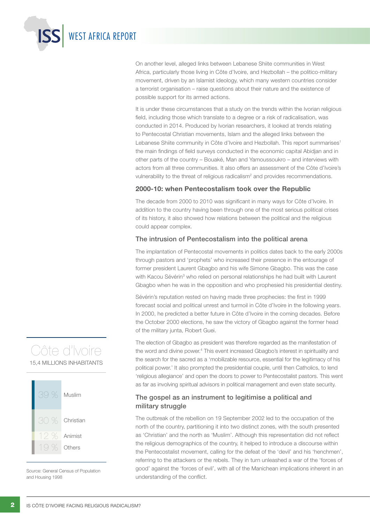On another level, alleged links between Lebanese Shiite communities in West Africa, particularly those living in Côte d'Ivoire, and Hezbollah – the politico-military movement, driven by an Islamist ideology, which many western countries consider a terrorist organisation – raise questions about their nature and the existence of possible support for its armed actions.

It is under these circumstances that a study on the trends within the Ivorian religious field, including those which translate to a degree or a risk of radicalisation, was conducted in 2014. Produced by Ivorian researchers, it looked at trends relating to Pentecostal Christian movements, Islam and the alleged links between the Lebanese Shiite community in Côte d'Ivoire and Hezbollah. This report summarises<sup>1</sup> the main findings of field surveys conducted in the economic capital Abidjan and in other parts of the country – Bouaké, Man and Yamoussoukro – and interviews with actors from all three communities. It also offers an assessment of the Côte d'Ivoire's vulnerability to the threat of religious radicalism<sup>2</sup> and provides recommendations.

#### 2000-10: when Pentecostalism took over the Republic

The decade from 2000 to 2010 was significant in many ways for Côte d'Ivoire. In addition to the country having been through one of the most serious political crises of its history, it also showed how relations between the political and the religious could appear complex.

#### The intrusion of Pentecostalism into the political arena

The implantation of Pentecostal movements in politics dates back to the early 2000s through pastors and 'prophets' who increased their presence in the entourage of former president Laurent Gbagbo and his wife Simone Gbagbo. This was the case with Kacou Sévérin<sup>3</sup> who relied on personal relationships he had built with Laurent Gbagbo when he was in the opposition and who prophesied his presidential destiny.

Sévérin's reputation rested on having made three prophecies: the first in 1999 forecast social and political unrest and turmoil in Côte d'Ivoire in the following years. In 2000, he predicted a better future in Côte d'Ivoire in the coming decades. Before the October 2000 elections, he saw the victory of Gbagbo against the former head of the military junta, Robert Guei.

The election of Gbagbo as president was therefore regarded as the manifestation of the word and divine power.4 This event increased Gbagbo's interest in spirituality and the search for the sacred as a 'mobilizable resource, essential for the legitimacy of his political power.' It also prompted the presidential couple, until then Catholics, to lend 'religious allegiance' and open the doors to power to Pentecostalist pastors. This went as far as involving spiritual advisors in political management and even state security.

#### The gospel as an instrument to legitimise a political and military struggle

The outbreak of the rebellion on 19 September 2002 led to the occupation of the north of the country, partitioning it into two distinct zones, with the south presented as 'Christian' and the north as 'Muslim'. Although this representation did not reflect the religious demographics of the country, it helped to introduce a discourse within the Pentecostalist movement, calling for the defeat of the 'devil' and his 'henchmen', referring to the attackers or the rebels. They in turn unleashed a war of the 'forces of good' against the 'forces of evil', with all of the Manichean implications inherent in an understanding of the conflict.

## Côte d'Ivoire 15,4 MILLIONS INHABITANTS



Source: General Census of Population and Housing 1998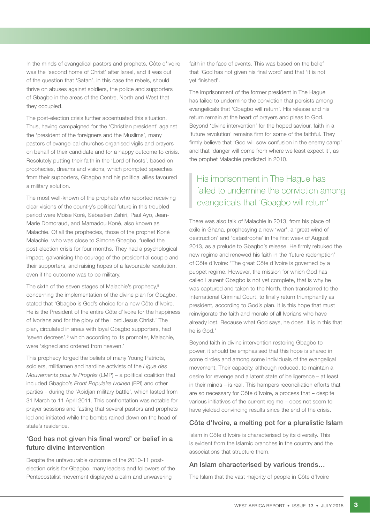In the minds of evangelical pastors and prophets, Côte d'Ivoire was the 'second home of Christ' after Israel, and it was out of the question that 'Satan', in this case the rebels, should thrive on abuses against soldiers, the police and supporters of Gbagbo in the areas of the Centre, North and West that they occupied.

The post-election crisis further accentuated this situation. Thus, having campaigned for the 'Christian president' against the 'president of the foreigners and the Muslims', many pastors of evangelical churches organised vigils and prayers on behalf of their candidate and for a happy outcome to crisis. Resolutely putting their faith in the 'Lord of hosts', based on prophecies, dreams and visions, which prompted speeches from their supporters, Gbagbo and his political allies favoured a military solution.

The most well-known of the prophets who reported receiving clear visions of the country's political future in this troubled period were Moïse Koré, Sébastien Zahiri, Paul Ayo, Jean-Marie Domoraud, and Mamadou Koné, also known as Malachie. Of all the prophecies, those of the prophet Koné Malachie, who was close to Simone Gbagbo, fuelled the post-election crisis for four months. They had a psychological impact, galvanising the courage of the presidential couple and their supporters, and raising hopes of a favourable resolution, even if the outcome was to be military.

The sixth of the seven stages of Malachie's prophecy,<sup>5</sup> concerning the implementation of the divine plan for Gbagbo, stated that 'Gbagbo is God's choice for a new Côte d'Ivoire. He is the President of the entire Côte d'Ivoire for the happiness of Ivorians and for the glory of the Lord Jesus Christ.' The plan, circulated in areas with loyal Gbagbo supporters, had 'seven decrees',<sup>6</sup> which according to its promoter, Malachie, were 'signed and ordered from heaven.'

This prophecy forged the beliefs of many Young Patriots, soldiers, militiamen and hardline activists of the *Ligue des Mouvements pour le Progrès* (LMP) – a political coalition that included Gbagbo's *Front Populaire Ivoirien* (FPI) and other parties – during the 'Abidjan military battle', which lasted from 31 March to 11 April 2011. This confrontation was notable for prayer sessions and fasting that several pastors and prophets led and initiated while the bombs rained down on the head of state's residence.

#### 'God has not given his final word' or belief in a future divine intervention

Despite the unfavourable outcome of the 2010-11 postelection crisis for Gbagbo, many leaders and followers of the Pentecostalist movement displayed a calm and unwavering

faith in the face of events. This was based on the belief that 'God has not given his final word' and that 'it is not yet finished'.

The imprisonment of the former president in The Hague has failed to undermine the conviction that persists among evangelicals that 'Gbagbo will return'. His release and his return remain at the heart of prayers and pleas to God. Beyond 'divine intervention' for the hoped saviour, faith in a 'future revolution' remains firm for some of the faithful. They firmly believe that 'God will sow confusion in the enemy camp' and that 'danger will come from where we least expect it', as the prophet Malachie predicted in 2010.

## His imprisonment in The Hague has failed to undermine the conviction among evangelicals that 'Gbagbo will return'

There was also talk of Malachie in 2013, from his place of exile in Ghana, prophesying a new 'war', a 'great wind of destruction' and 'catastrophe' in the first week of August 2013, as a prelude to Gbagbo's release. He firmly rebuked the new regime and renewed his faith in the 'future redemption' of Côte d'Ivoire: 'The great Côte d'Ivoire is governed by a puppet regime. However, the mission for which God has called Laurent Gbagbo is not yet complete, that is why he was captured and taken to the North, then transferred to the International Criminal Court, to finally return triumphantly as president, according to God's plan. It is this hope that must reinvigorate the faith and morale of all Ivorians who have already lost. Because what God says, he does. It is in this that he is God.'

Beyond faith in divine intervention restoring Gbagbo to power, it should be emphasised that this hope is shared in some circles and among some individuals of the evangelical movement. Their capacity, although reduced, to maintain a desire for revenge and a latent state of belligerence – at least in their minds – is real. This hampers reconciliation efforts that are so necessary for Côte d'Ivoire, a process that – despite various initiatives of the current regime – does not seem to have yielded convincing results since the end of the crisis.

#### Côte d'Ivoire, a melting pot for a pluralistic Islam

Islam in Côte d'Ivoire is characterised by its diversity. This is evident from the Islamic branches in the country and the associations that structure them.

#### An Islam characterised by various trends…

The Islam that the vast majority of people in Côte d'Ivoire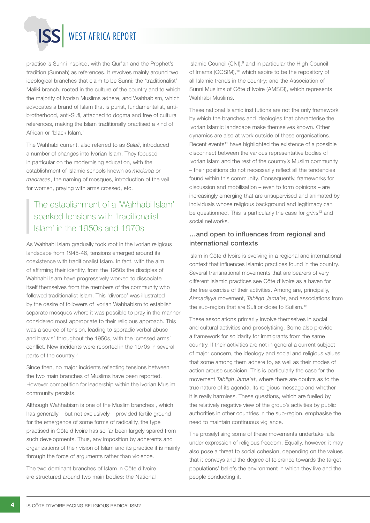practise is Sunni inspired, with the Qur'an and the Prophet's tradition (Sunnah) as references. It revolves mainly around two ideological branches that claim to be Sunni: the 'traditionalist' Maliki branch, rooted in the culture of the country and to which the majority of Ivorian Muslims adhere, and Wahhabism, which advocates a brand of Islam that is purist, fundamentalist, antibrotherhood, anti-Sufi, attached to dogma and free of cultural references, making the Islam traditionally practised a kind of African or 'black Islam.'

The Wahhabi current, also referred to as *Salafi*, introduced a number of changes into Ivorian Islam. They focused in particular on the modernising education, with the establishment of Islamic schools known as *medersa* or *madrasas*, the naming of mosques, introduction of the veil for women, praying with arms crossed, etc.

## The establishment of a 'Wahhabi Islam' sparked tensions with 'traditionalist Islam' in the 1950s and 1970s

As Wahhabi Islam gradually took root in the Ivorian religious landscape from 1945-46, tensions emerged around its coexistence with traditionalist Islam. In fact, with the aim of affirming their identity, from the 1950s the disciples of Wahhabi Islam have progressively worked to dissociate itself themselves from the members of the community who followed traditionalist Islam. This 'divorce' was illustrated by the desire of followers of Ivorian Wahhabism to establish separate mosques where it was possible to pray in the manner considered most appropriate to their religious approach. This was a source of tension, leading to sporadic verbal abuse and brawls<sup>7</sup> throughout the 1950s, with the 'crossed arms' conflict. New incidents were reported in the 1970s in several parts of the country.<sup>8</sup>

Since then, no major incidents reflecting tensions between the two main branches of Muslims have been reported. However competition for leadership within the Ivorian Muslim community persists.

Although Wahhabism is one of the Muslim branches , which has generally – but not exclusively – provided fertile ground for the emergence of some forms of radicality, the type practised in Côte d'Ivoire has so far been largely spared from such developments. Thus, any imposition by adherents and organizations of their vision of Islam and its practice it is mainly through the force of arguments rather than violence.

The two dominant branches of Islam in Côte d'Ivoire are structured around two main bodies: the National

Islamic Council  $(CNI)$ ,  $9$  and in particular the High Council of Imams (COSIM),<sup>10</sup> which aspire to be the repository of all Islamic trends in the country; and the Association of Sunni Muslims of Côte d'Ivoire (AMSCI), which represents Wahhabi Muslims.

These national Islamic institutions are not the only framework by which the branches and ideologies that characterise the Ivorian Islamic landscape make themselves known. Other dynamics are also at work outside of these organisations. Recent events<sup>11</sup> have highlighted the existence of a possible disconnect between the various representative bodies of Ivorian Islam and the rest of the country's Muslim community – their positions do not necessarily reflect all the tendencies found within this community. Consequently, frameworks for discussion and mobilisation – even to form opinions – are increasingly emerging that are unsupervised and animated by individuals whose religious background and legitimacy can be questionned. This is particularly the case for *grins*12 and social networks.

#### …and open to influences from regional and international contexts

Islam in Côte d'Ivoire is evolving in a regional and international context that influences Islamic practices found in the country. Several transnational movements that are bearers of very different Islamic practices see Côte d'Ivoire as a haven for the free exercise of their activities. Among are, principally, *Ahmadiyya* movement, *Tabligh Jama'at*, and associations from the sub-region that are Sufi or close to Sufism.<sup>13</sup>

These associations primarily involve themselves in social and cultural activities and proselytising. Some also provide a framework for solidarity for immigrants from the same country. If their activities are not in general a current subject of major concern, the ideology and social and religious values that some among them adhere to, as well as their modes of action arouse suspicion. This is particularly the case for the movement *Tabligh Jama'at*, where there are doubts as to the true nature of its agenda, its religious message and whether it is really harmless. These questions, which are fuelled by the relatively negative view of the group's activities by public authorities in other countries in the sub-region, emphasise the need to maintain continuous vigilance.

The proselytising some of these movements undertake falls under expression of religious freedom. Equally, however, it may also pose a threat to social cohesion, depending on the values that it conveys and the degree of tolerance towards the target populations' beliefs the environment in which they live and the people conducting it.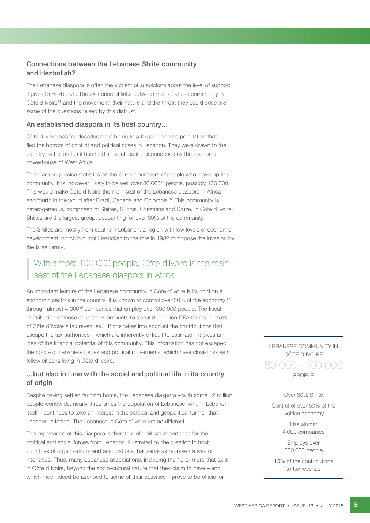#### Connections between the Lebanese Shiite community and Hezbollah?

The Lebanese diaspora is often the subject of suspicions about the level of support it gives to Hezbollah. The existence of links between the Lebanese community in Côte d'Ivoire<sup>14</sup> and the movement, their nature and the threat they could pose are some of the questions raised by this distrust.

#### An established diaspora in its host country…

Côte d<sub>'</sub>Ivoire has for decades been home to a large Lebanese population that fled the horrors of conflict and political crises in Lebanon. They were drawn to the country by the status it has held since at least independence as the economic powerhouse of West Africa.

There are no precise statistics on the current numbers of people who make up this community. It is, however, likely to be well over 80 00015 people, possibly 100 000. This would make Côte d'Ivoire the main seat of the Lebanese diaspora in Africa and fourth in the world after Brazil, Canada and Colombia.16 This community is heterogeneous, composed of Shiites, Sunnis, Christians and Druze. In Côte d'Ivoire, Shiites are the largest group, accounting for over 80% of the community.

The Shiites are mostly from southern Lebanon, a region with low levels of economic development, which brought Hezbollah to the fore in 1982 to oppose the invasion by the Israeli army.

## With almost 100 000 people, Côte d'Ivoire is the main seat of the Lebanese diaspora in Africa

An important feature of the Lebanese community in Côte d'Ivoire is its hold on all economic sectors in the country. It is known to control over 50% of the economy,17 through almost 4 000<sup>18</sup> companies that employ over 300 000 people. The fiscal contribution of these companies amounts to about 350 billion CFA francs, or 15% of Côte d'Ivoire's tax revenues.19 If one takes into account the contributions that escape the tax authorities – which are inherently difficult to estimate – it gives an idea of the financial potential of this community. This information has not escaped the notice of Lebanese forces and political movements, which have close links with fellow citizens living in Côte d'Ivoire.

#### …but also in tune with the social and political life in its country of origin

Despite having settled far from home, the Lebanese diaspora – with some 12 million people worldwide, nearly three times the population of Lebanese living in Lebanon itself – continues to take an interest in the political and geopolitical turmoil that Lebanon is facing. The Lebanese in Côte d'Ivoire are no different.

The importance of this diaspora is therefore of political importance for the political and social forces from Lebanon, illustrated by the creation in host countries of organisations and associations that serve as representatives or interfaces. Thus, many Lebanese associations, including the 10 or more that exist in Côte d'Ivoire, beyond the socio-cultural nature that they claim to have – and which may indeed be ascribed to some of their activities – prove to be official or

LEBANESE COMMUNITY IN CÔTE D'IVOIRE PEOPLE 80 000 – 100 000

#### Over 80% Shiite

Control of over 50% of the Ivoirian economy

> Has almost 4 000 companies

Employs over 300 000 people

15% of the contributions to tax revenue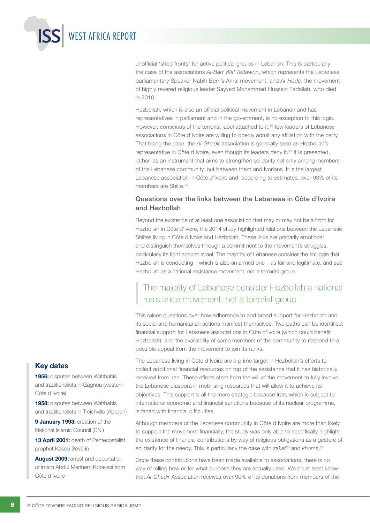unofficial 'shop fronts' for active political groups in Lebanon. This is particularly the case of the associations *Al-Barr Wal Ta3awon*, which represents the Lebanese parliamentary Speaker Nabih Berri's Amal movement, and *Al-Hoda*, the movement of highly revered religious leader Sayyed Mohammad Hussein Fadallah, who died in 2010.

Hezbollah, which is also an official political movement in Lebanon and has representatives in parliament and in the government, is no exception to this logic. However, conscious of the terrorist label attached to it.<sup>20</sup> few leaders of Lebanese associations in Côte d'Ivoire are willing to openly admit any affiliation with the party. That being the case, the *Al-Ghadir* association is generally seen as Hezbollah's representative in Côte d'Ivoire, even though its leaders deny it.21 It is presented, rather, as an instrument that aims to strengthen solidarity not only among members of the Lebanese community, but between them and Ivorians. It is the largest Lebanese association in Côte d'Ivoire and, according to estimates, over 93% of its members are Shiite.<sup>22</sup>

#### Questions over the links between the Lebanese in Côte d'Ivoire and Hezbollah

Beyond the existence of at least one association that may or may not be a front for Hezbollah in Côte d'Ivoire, the 2014 study highlighted relations between the Lebanese Shiites living in Côte d'Ivoire and Hezbollah. These links are primarily emotional and distinguish themselves through a commitment to the movement's struggles, particularly its fight against Israel. The majority of Lebanese consider the struggle that Hezbollah is conducting – which is also an armed one – as fair and legitimate, and see Hezbollah as a national resistance movement, not a terrorist group.

### The majority of Lebanese consider Hezbollah a national resistance movement, not a terrorist group

This raises questions over how adherence to and broad support for Hezbollah and its social and humanitarian actions manifest themselves. Two paths can be identified: financial support for Lebanese associations in Côte d'Ivoire (which could benefit Hezbollah); and the availability of some members of the community to respond to a possible appeal from the movement to join its ranks.

The Lebanese living in Côte d'Ivoire are a prime target in Hezbollah's efforts to collect additional financial resources on top of the assistance that it has historically received from Iran. These efforts stem from the will of the movement to fully involve the Lebanese diaspora in mobilising resources that will allow it to achieve its objectives. This support is all the more strategic because Iran, which is subject to international economic and financial sanctions because of its nuclear programme, is faced with financial difficulties.

Although members of the Lebanese community in Côte d'Ivoire are more than likely to support the movement financially, the study was only able to specifically highlight the existence of financial contributions by way of religious obligations as a gesture of solidarity for the needy. This is particularly the case with *zakat<sup>23</sup>* and *khoms*.<sup>24</sup>

Once these contributions have been made available to associations, there is no way of telling how or for what purpose they are actually used. We do at least know that *Al-Ghadir* Association receives over 90% of its donations from members of the

#### Key dates

1956: disputes between Wahhabis and traditionalists in Gagnoa (western Côte d'Ivoire)

WEST AFRICA REPORT

1958: disputes between Wahhabis and traditionalists in Treichville (Abidjan)

9 January 1993: creation of the National Islamic Council (CNI)

13 April 2001: death of Pentecostalist prophet Kacou Sévérin

August 2009: arrest and deportation of imam Abdul Menhem Kobeissi from Côte d'Ivoire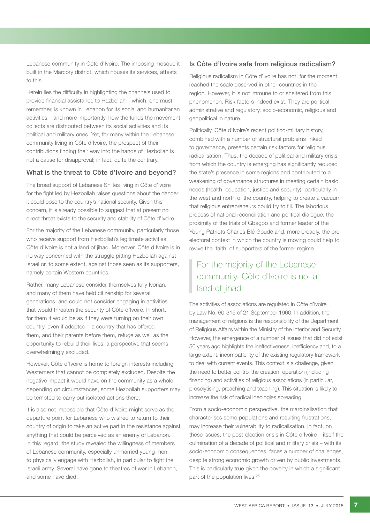Lebanese community in Côte d'Ivoire. The imposing mosque it built in the Marcory district, which houses its services, attests to this.

Herein lies the difficulty in highlighting the channels used to provide financial assistance to Hezbollah – which, one must remember, is known in Lebanon for its social and humanitarian activities – and more importantly, how the funds the movement collects are distributed between its social activities and its political and military ones. Yet, for many within the Lebanese community living in Côte d'Ivoire, the prospect of their contributions finding their way into the hands of Hezbollah is not a cause for disapproval; in fact, quite the contrary.

#### What is the threat to Côte d'Ivoire and beyond?

The broad support of Lebanese Shiites living in Côte d'Ivoire for the fight led by Hezbollah raises questions about the danger it could pose to the country's national security. Given this concern, it is already possible to suggest that at present no direct threat exists to the security and stability of Côte d'Ivoire.

For the majority of the Lebanese community, particularly those who receive support from Hezbollah's legitimate activities, Côte d'Ivoire is not a land of jihad. Moreover, Côte d'Ivoire is in no way concerned with the struggle pitting Hezbollah against Israel or, to some extent, against those seen as its supporters, namely certain Western countries.

Rather, many Lebanese consider themselves fully Ivorian, and many of them have held citizenship for several generations, and could not consider engaging in activities that would threaten the security of Côte d'Ivoire. In short, for them it would be as if they were turning on their own country, even if adopted – a country that has offered them, and their parents before them, refuge as well as the opportunity to rebuild their lives; a perspective that seems overwhelmingly excluded.

However, Côte d'Ivoire is home to foreign interests including Westerners that cannot be completely excluded. Despite the negative impact it would have on the community as a whole, depending on circumstances, some Hezbollah supporters may be tempted to carry out isolated actions there.

It is also not impossible that Côte d'Ivoire might serve as the departure point for Lebanese who wished to return to their country of origin to take an active part in the resistance against anything that could be perceived as an enemy of Lebanon. In this regard, the study revealed the willingness of members of Lebanese community, especially unmarried young men, to physically engage with Hezbollah, in particular to fight the Israeli army. Several have gone to theatres of war in Lebanon, and some have died.

#### Is Côte d'Ivoire safe from religious radicalism?

Religious radicalism in Côte d'Ivoire has not, for the moment, reached the scale observed in other countries in the region. However, it is not immune to or sheltered from this phenomenon. Risk factors indeed exist. They are political, administrative and regulatory, socio-economic, religious and geopolitical in nature.

Politically, Côte d'Ivoire's recent politico-military history, combined with a number of structural problems linked to governance, presents certain risk factors for religious radicalisation. Thus, the decade of political and military crisis from which the country is emerging has significantly reduced the state's presence in some regions and contributed to a weakening of governance structures in meeting certain basic needs (health, education, justice and security), particularly in the west and north of the country, helping to create a vacuum that religious entrepreneurs could try to fill. The laborious process of national reconciliation and political dialogue, the proximity of the trials of Gbagbo and former leader of the Young Patriots Charles Blé Goudé and, more broadly, the preelectoral context in which the country is moving could help to revive the 'faith' of supporters of the former regime.

## For the majority of the Lebanese community, Côte d'Ivoire is not a land of jihad

The activities of associations are regulated in Côte d'Ivoire by Law No. 60-315 of 21 September 1960. In addition, the management of religions is the responsibility of the Department of Religious Affairs within the Ministry of the Interior and Security. However, the emergence of a number of issues that did not exist 50 years ago highlights the ineffectiveness, inefficiency and, to a large extent, incompatibility of the existing regulatory framework to deal with current events. This context is a challenge, given the need to better control the creation, operation (including financing) and activities of religious associations (in particular, proselytising, preaching and teaching). This situation is likely to increase the risk of radical ideologies spreading.

From a socio-economic perspective, the marginalisation that characterises some populations and resulting frustrations, may increase their vulnerability to radicalisation. In fact, on these issues, the post-election crisis in Côte d'Ivoire – itself the culmination of a decade of political and military crisis – with its socio-economic consequences, faces a number of challenges, despite strong economic growth driven by public investments. This is particularly true given the poverty in which a significant part of the population lives.<sup>25</sup>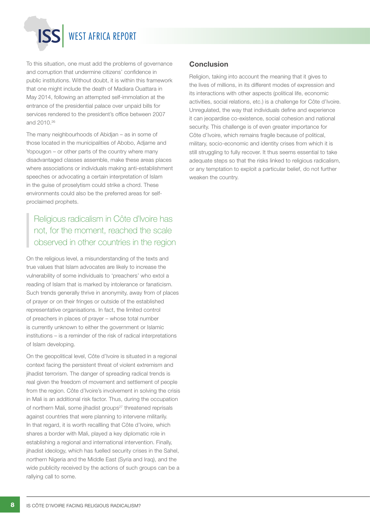To this situation, one must add the problems of governance and corruption that undermine citizens' confidence in public institutions. Without doubt, it is within this framework that one might include the death of Madiara Ouattara in May 2014, following an attempted self-immolation at the entrance of the presidential palace over unpaid bills for services rendered to the president's office between 2007 and 2010.26

The many neighbourhoods of Abidjan – as in some of those located in the municipalities of Abobo, Adjame and Yopougon – or other parts of the country where many disadvantaged classes assemble, make these areas places where associations or individuals making anti-establishment speeches or advocating a certain interpretation of Islam in the guise of proselytism could strike a chord. These environments could also be the preferred areas for selfproclaimed prophets.

## Religious radicalism in Côte d'Ivoire has not, for the moment, reached the scale observed in other countries in the region

On the religious level, a misunderstanding of the texts and true values that Islam advocates are likely to increase the vulnerability of some individuals to 'preachers' who extol a reading of Islam that is marked by intolerance or fanaticism. Such trends generally thrive in anonymity, away from of places of prayer or on their fringes or outside of the established representative organisations. In fact, the limited control of preachers in places of prayer – whose total number is currently unknown to either the government or Islamic institutions – is a reminder of the risk of radical interpretations of Islam developing.

On the geopolitical level, Côte d'Ivoire is situated in a regional context facing the persistent threat of violent extremism and jihadist terrorism. The danger of spreading radical trends is real given the freedom of movement and settlement of people from the region. Côte d'Ivoire's involvement in solving the crisis in Mali is an additional risk factor. Thus, during the occupation of northern Mali, some jihadist groups<sup>27</sup> threatened reprisals against countries that were planning to intervene militarily. In that regard, it is worth recallling that Côte d'Ivoire, which shares a border with Mali, played a key diplomatic role in establishing a regional and international intervention. Finally, jihadist ideology, which has fuelled security crises in the Sahel, northern Nigeria and the Middle East (Syria and Iraq), and the wide publicity received by the actions of such groups can be a rallying call to some.

#### **Conclusion**

Religion, taking into account the meaning that it gives to the lives of millions, in its different modes of expression and its interactions with other aspects (political life, economic activities, social relations, etc.) is a challenge for Côte d'Ivoire. Unregulated, the way that individuals define and experience it can jeopardise co-existence, social cohesion and national security. This challenge is of even greater importance for Côte d'Ivoire, which remains fragile because of political, military, socio-economic and identity crises from which it is still struggling to fully recover. It thus seems essential to take adequate steps so that the risks linked to religious radicalism, or any temptation to exploit a particular belief, do not further weaken the country.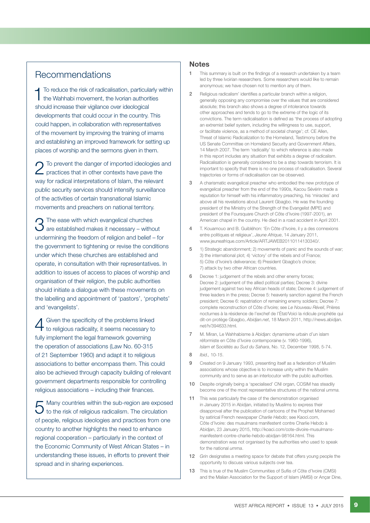### Recommendations

To reduce the risk of radicalisation, particularly within the Wahhabi movement, the Ivorian authorities should increase their vigilance over ideological developments that could occur in the country. This could happen, in collaboration with representatives of the movement by improving the training of imams and establishing an improved framework for setting up places of worship and the sermons given in them.

To prevent the danger of imported ideologies and practices that in other contexts have pave the way for radical interpretations of Islam, the relevant public security services should intensify surveillance of the activities of certain transnational Islamic movements and preachers on national territory.

 $\bigcap$  The ease with which evangelical churches  $\bm{J}$  are established makes it necessary – without undermining the freedom of religion and belief – for the government to tightening or revise the conditions under which these churches are established and operate, in consultation with their representatives. In addition to issues of access to places of worship and organisation of their religion, the public authorities should initiate a dialogue with these movements on the labelling and appointment of 'pastors', 'prophets' and 'evangelists'.

4 Given the specificity of the problems linked to religious radicality, it seems necessary to fully implement the legal framework governing the operation of associations (Law No. 60-315 of 21 September 1960) and adapt it to religious associations to better encompass them. This could also be achieved through capacity building of relevant government departments responsible for controlling religious associations – including their finances.

Many countries within the sub-region are exposed  $\blacktriangleright$  to the risk of religious radicalism. The circulation of people, religious ideologies and practices from one country to another highlights the need to enhance regional cooperation – particularly in the context of the Economic Community of West African States – in understanding these issues, in efforts to prevent their spread and in sharing experiences.

#### **Notes**

- 1 This summary is built on the findings of a research undertaken by a team led by three Ivoirian researchers. Some researchers would like to remain anonymous; we have chosen not to mention any of them.
- 2 Religious radicalism' identifies a particular branch within a religion, generally opposing any compromise over the values that are considered absolute; this branch also shows a degree of intolerance towards other approaches and tends to go to the extreme of the logic of its convictions. The term radicalisation is defined as 'the process of adopting an extremist belief system, including the willingness to use, support, or facilitate violence, as a method of societal change'; cf. CE Allen, Threat of Islamic Radicalization to the Homeland, Testimony before the US Senate Committee on Homeland Security and Government Affairs, 14 March 2007. The term 'radicality' to which reference is also made in this report includes any situation that exhibits a degree of radicalism. Radicalisation is generally considered to be a step towards terrorism. It is important to specify that there is no one process of radicalisation. Several trajectories or forms of radicalisation can be observed.
- 3 A charismatic evangelical preacher who embodied the new prototype of evangelical preacher from the end of the 1990s, Kacou Sévérin made a reputation for himself with his inflammatory preaching, his 'miracles' and above all his revelations about Laurent Gbagbo. He was the founding president of the Ministry of the Strength of the Evangelist (MPE) and president of the Foursquare Church of Côte d'Ivoire (1997-2001), an American chapel in the country. He died in a road accident in April 2001.
- 4 T. Kouamouo and B. Guibléhon: 'En Côte d'Ivoire, il y a des connexions entre politiques et religieux', *Jeune Afrique*, 14 January 2011, www.jeuneafrique.com/Article/ARTJAWEB20110114130340/.
- 5 1) Strategic abandonment; 2) movements of panic and the sounds of war; 3) the international plot; 4) 'victory' of the rebels and of France; 5) Côte d'Ivoire's deliverance; 6) President Gbagbo's choice; 7) attack by two other African countries.
- 6 Decree 1: judgement of the rebels and other enemy forces; Decree 2: judgement of the allied political parties; Decree 3: divine judgement against two key African heads of state; Decree 4: judgement of three leaders in the press; Decree 5: heavenly sanction against the French president; Decree 6: repatriation of remaining enemy soldiers; Decree 7: complete reconstruction of Côte d'Ivoire; see *Le Nouveau Réveil*, Prières nocturnes à la résidence de l'exchef de l'État/Voici la ridicule prophétie qui dit-on protège Gbagbo, *Abidjan.net*, 18 March 2011, http://news.abidjan. net/h/394633.html.
- 7 M. Miran, Le Wahhabisme à Abidjan: dynamisme urbain d'un islam réformiste en Côte d'Ivoire contemporaine (v. 1960-1996), *Islam et* S*ociétés au Sud du Sahara*, No. 12, December 1998, 5-74.
- 8 *Ibid.,* 10*-15*.
- 9 Created on 9 January 1993, presenting itself as a federation of Muslim associations whose objective is to increase unity within the Muslim community and to serve as an interlocutor with the public authorities.
- 10 Despite originally being a 'specialised' CNI organ, COSIM has steadily become one of the most representative structures of the national *umma.*
- 11 This was particularly the case of the demonstration organised in January 2015 in Abidian, initiated by Muslims to express their disapproval after the publication of cartoons of the Prophet Mohamed by satirical French newspaper *Charlie Hebdo*; see Kaoci.com, Côte d'Ivoire: des musulmans manifestent contre Charlie Hebdo à Abidjan, 23 January 2015, http://koaci.com/cote-divoire-musulmansmanifestent-contre-charlie-hebdo-abidjan-98164.html. This demonstration was not organised by the authorities who used to speak for the national *umma*.
- 12 *Grin* designates a meeting space for debate that offers young people the opportunity to discuss various subjects over tea.
- 13 This is true of the Muslim Communities of Sufiis of Côte d'Ivoire (CMSI) and the Malian Association for the Support of Islam (AMSI) or Ançar Dine,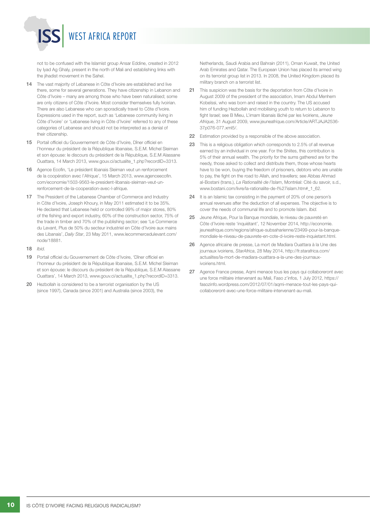not to be confused with the Islamist group Ansar Eddine, created in 2012 by Iyad Ag Ghaly, present in the north of Mali and establishing links with the jihadist movement in the Sahel.

- 14 The vast majority of Lebanese in Côte d'Ivoire are established and live there, some for several generations. They have citizenship in Lebanon and Côte d'Ivoire – many are among those who have been naturalised; some are only citizens of Côte d'Ivoire. Most consider themselves fully Ivoirian. There are also Lebanese who can sporadically travel to Côte d'Ivoire. Expressions used in the report, such as 'Lebanese community living in Côte d'Ivoire' or 'Lebanese living in Côte d'Ivoire' referred to any of these categories of Lebanese and should not be interpreted as a denial of their citizenship.
- 15 Portail officiel du Gouvernement de Côte d'Ivoire, Dîner officiel en l'honneur du président de la République libanaise, S.E.M. Michel Sleiman et son épouse: le discours du président de la République, S.E.M Alassane Ouattara, 14 March 2013, www.gouv.ci/actualite\_1.php?recordID=3313.
- 16 Agence Ecofin, 'Le président libanais Sleiman veut un renforcement de la coopération avec l'Afrique', 15 March 2013, www.agenceecofin. com/economie/1503-9563-le-president-libanais-sleiman-veut-unrenforcement-de-la-cooperation-avec-l-afrique.
- 17 The President of the Lebanese Chamber of Commerce and Industry in Côte d'Ivoire, Joseph Khoury, in May 2011 estimated it to be 35%. He declared that Lebanese held or controlled 99% of major stores, 80% of the fishing and export industry, 60% of the construction sector, 75% of the trade in timber and 70% of the publishing sector; see 'Le Commerce du Levant, Plus de 50% du secteur industriel en Côte d'Ivoire aux mains des Libanais', *Daily Star*, 23 May 2011, www.lecommercedulevant.com/ node/18881.
- 18 *Ibid.*
- 19 Portail officiel du Gouvernement de Côte d'Ivoire, 'Dîner officiel en l'honneur du président de la République libanaise, S.E.M. Michel Sleiman et son épouse: le discours du président de la République, S.E.M Alassane Ouattara', 14 March 2013, www.gouv.ci/actualite\_1.php?recordID=3313.
- 20 Hezbollah is considered to be a terrorist organisation by the US (since 1997), Canada (since 2001) and Australia (since 2003), the

Netherlands, Saudi Arabia and Bahrain (2011), Oman Kuwait, the United Arab Emirates and Qatar. The European Union has placed its armed wing on its terrorist group list in 2013. In 2008, the United Kingdom placed its military branch on a terrorist list.

- 21 This suspicion was the basis for the deportation from Côte d'Ivoire in August 2009 of the president of the association, Imam Abdul Menhem Kobeïssi, who was born and raised in the country. The US accused him of funding Hezbollah and mobilising youth to return to Lebanon to fight Israel; see B Mieu, L'imam libanais lâché par les Ivoiriens, *Jeune Afrique*, 31 August 2009, www.jeuneafrique.com/Article/ARTJAJA2536- 37p076-077.xml5/.
- 22 Estimation provided by a responsible of the above association.
- 23 This is a religious obligation which corresponds to 2.5% of all revenue earned by an individual in one year. For the Shiites, this contribution is 5% of their annual wealth. The priority for the sums gathered are for the needy, those asked to collect and distribute them, those whose hearts have to be won, buying the freedom of prisoners, debtors who are unable to pay, the fight on the road to Allah, and travellers; see Abbas Ahmad al-Bostani (trans.), *La Rationalité de l'Islam*, Montréal: Cité du savoir, s.d., www.bostani.com/livre/la-rationalite-de-l%27islam.htm#\_1\_62.
- 24 It is an Islamic tax consisting in the payment of 20% of one person's annual revenues after the deduction of all expenses. The objective is to cover the needs of communal life and to promote Islam. *Ibid.*
- 25 Jeune Afrique, Pour la Banque mondiale, le niveau de pauvreté en Côte d'Ivoire reste 'inquiétant', 12 November 2014, http://economie. jeuneafrique.com/regions/afrique-subsaharienne/23499-pour-la-banquemondiale-le-niveau-de-pauvrete-en-cote-d-ivoire-reste-inquietant.html.
- 26 Agence africaine de presse, La mort de Madiara Ouattara à la Une des journaux ivoiriens, *StarAfrica*, 28 May 2014, http://fr.starafrica.com/ actualites/la-mort-de-madiara-ouattara-a-la-une-des-journauxivoiriens.html.
- 27 Agence France presse, Aqmi menace tous les pays qui collaboreront avec une force militaire intervenant au Mali, Faso z'infos, 1 July 2012, https:// fasozinfo.wordpress.com/2012/07/01/aqmi-menace-tout-les-pays-quicollaboreront-avec-une-force-militaire-intervenant-au-mali.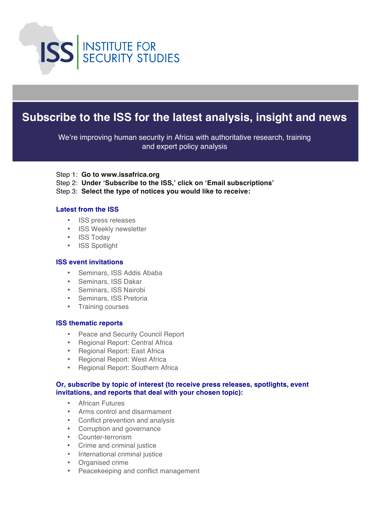

## **Subscribe to the ISS for the latest analysis, insight and news**

We're improving human security in Africa with authoritative research, training and expert policy analysis

- Step 1: **Go to www.issafrica.org**
- Step 2: **Under 'Subscribe to the ISS,' click on 'Email subscriptions'**
- Step 3: **Select the type of notices you would like to receive:**

#### **Latest from the ISS**

- ISS press releases
- ISS Weekly newsletter
- ISS Today
- ISS Spotlight

#### **ISS event invitations**

- Seminars, ISS Addis Ababa
- Seminars, ISS Dakar
- Seminars, ISS Nairobi
- Seminars, ISS Pretoria
- Training courses

#### **ISS thematic reports**

- Peace and Security Council Report
- Regional Report: Central Africa
- Regional Report: East Africa
- Regional Report: West Africa
- Regional Report: Southern Africa

#### **Or, subscribe by topic of interest (to receive press releases, spotlights, event invitations, and reports that deal with your chosen topic):**

- African Futures
- Arms control and disarmament
- Conflict prevention and analysis
- Corruption and governance
- Counter-terrorism
- Crime and criminal justice
- International criminal justice
- Organised crime
- Peacekeeping and conflict management